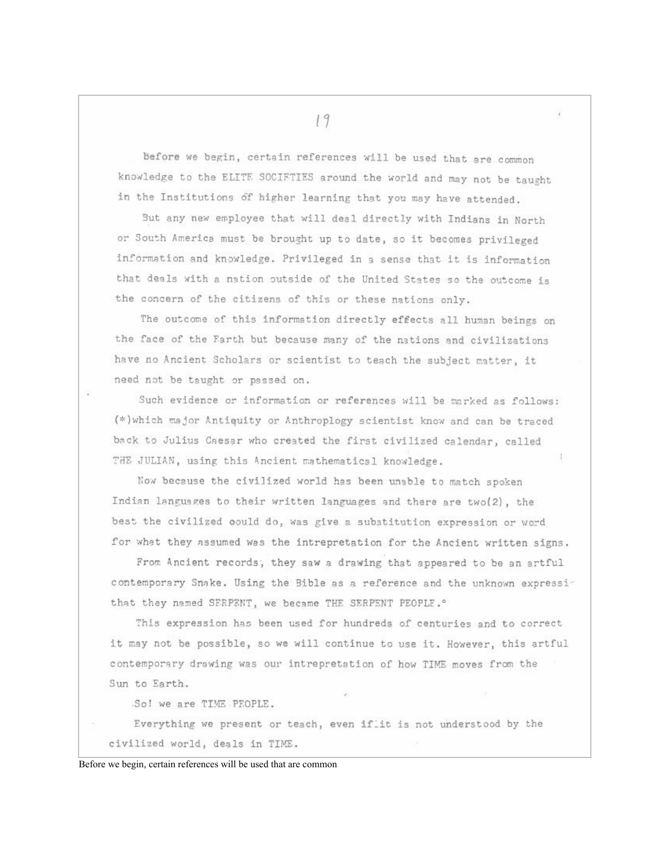before we begin, certain references will be used that are common knowledge to the ELITE SOCIFTIES around the world and may not be taught in the Institutions of higher learning that you may have attended.

But any new employee that will deal directly with Indians in North or South America must be brought up to date, so it becomes privileged information and knowledge. Privileged in a sense that it is information that deals with a nation outside of the United States so the outcome is the concern of the citizens of this or these nations only.

The outcome of this information directly effects all human beings on the face of the Farth but because many of the nations and civilizations have no Ancient Scholars or scientist to teach the subject matter, it need not be taught or passed on.

Such evidence or information or references will be marked as follows: (\*) which major Antiquity or Anthroplogy scientist know and can be traced back to Julius Caesar who created the first civilized calendar, called THE JULIAN, using this Ancient mathematical knowledge.

Now because the civilized world has been unable to match spoken Indian languages to their written languages and there are two(2), the best the civilized could do, was give a substitution expression or word for what they assumed was the intrepretation for the Ancient written signs.

From Ancient records, they saw a drawing that appeared to be an artful contemporary Snake. Using the Bible as a reference and the unknown expressithat they named SFRPENT, we became THE SERPENT PEOPLE.º

This expression has been used for hundreds of centuries and to correct it may not be possible, so we will continue to use it. However, this artful contemporary drawing was our intrepretation of how TIME moves from the Sun to Earth.

So! we are TIME PEOPLE.

Everything we present or teach, even if it is not understood by the civilized world, deals in TIME.

Before we begin, certain references will be used that are common

19